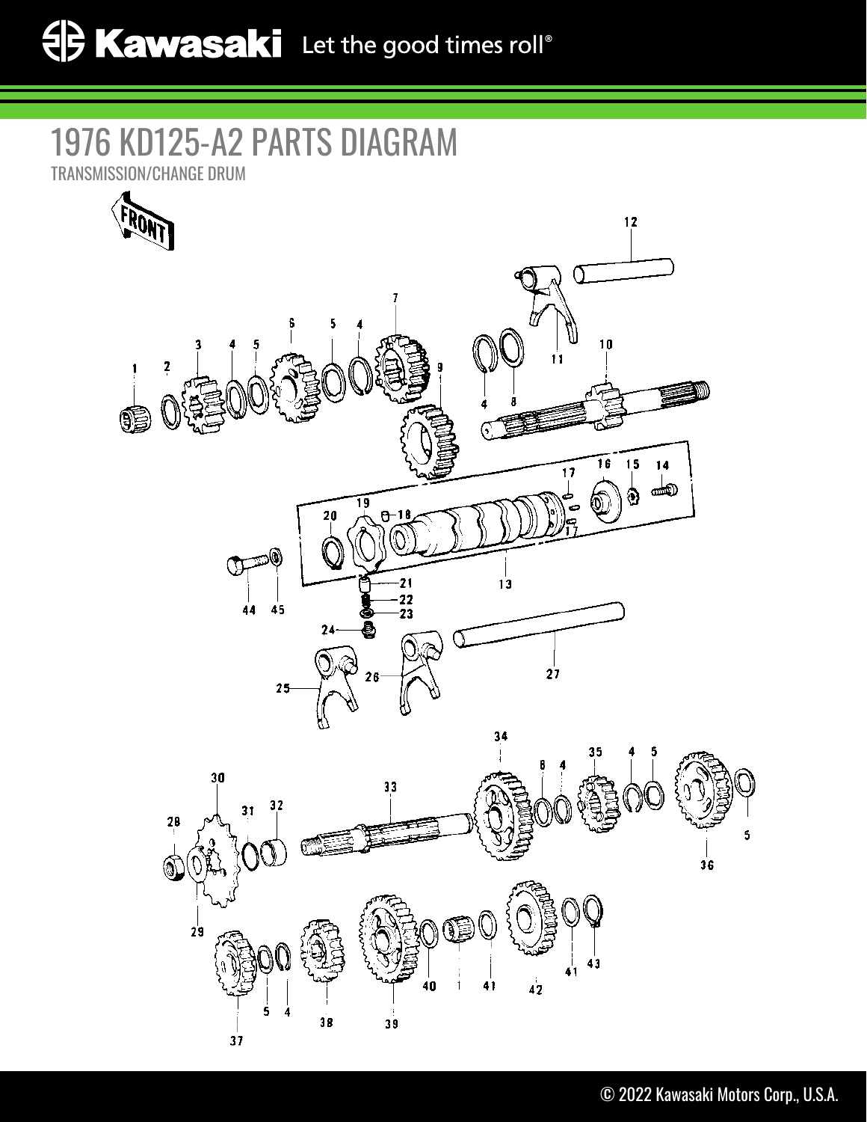## 1976 KD125-A2 PARTS DIAGRAM

TRANSMISSION/CHANGE DRUM



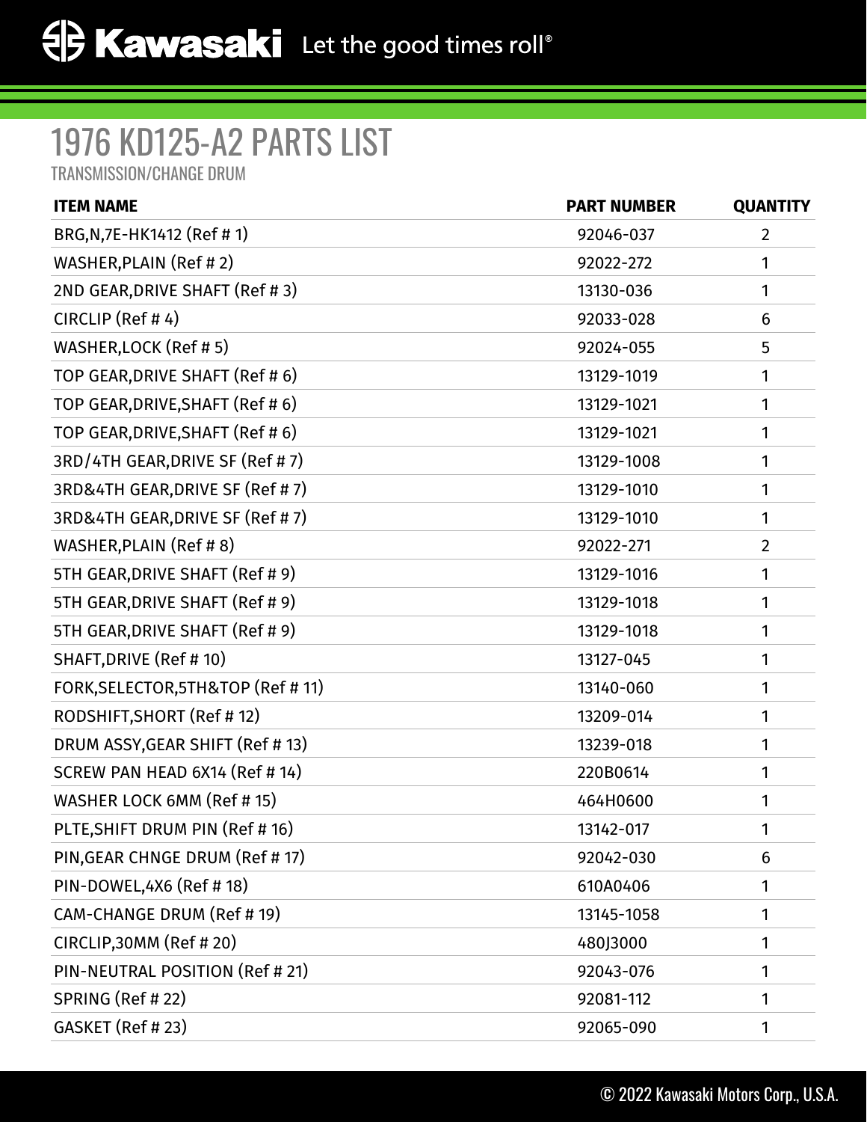## 1976 KD125-A2 PARTS LIST

TRANSMISSION/CHANGE DRUM

| <b>ITEM NAME</b>                  | <b>PART NUMBER</b> | <b>QUANTITY</b> |
|-----------------------------------|--------------------|-----------------|
| BRG, N, 7E-HK1412 (Ref #1)        | 92046-037          | $\overline{2}$  |
| WASHER, PLAIN (Ref #2)            | 92022-272          | 1               |
| 2ND GEAR, DRIVE SHAFT (Ref #3)    | 13130-036          | 1               |
| CIRCLIP $(Ref # 4)$               | 92033-028          | 6               |
| WASHER, LOCK (Ref # 5)            | 92024-055          | 5               |
| TOP GEAR, DRIVE SHAFT (Ref #6)    | 13129-1019         | 1               |
| TOP GEAR, DRIVE, SHAFT (Ref #6)   | 13129-1021         | 1               |
| TOP GEAR, DRIVE, SHAFT (Ref #6)   | 13129-1021         | 1               |
| 3RD/4TH GEAR, DRIVE SF (Ref # 7)  | 13129-1008         | 1               |
| 3RD&4TH GEAR, DRIVE SF (Ref #7)   | 13129-1010         | 1               |
| 3RD&4TH GEAR, DRIVE SF (Ref #7)   | 13129-1010         | 1               |
| WASHER, PLAIN (Ref #8)            | 92022-271          | $\overline{2}$  |
| 5TH GEAR, DRIVE SHAFT (Ref # 9)   | 13129-1016         | 1               |
| 5TH GEAR, DRIVE SHAFT (Ref # 9)   | 13129-1018         | 1               |
| 5TH GEAR, DRIVE SHAFT (Ref # 9)   | 13129-1018         | 1               |
| SHAFT, DRIVE (Ref # 10)           | 13127-045          | 1               |
| FORK, SELECTOR, 5TH&TOP (Ref #11) | 13140-060          | 1               |
| RODSHIFT, SHORT (Ref #12)         | 13209-014          | 1               |
| DRUM ASSY, GEAR SHIFT (Ref #13)   | 13239-018          | 1               |
| SCREW PAN HEAD 6X14 (Ref # 14)    | 220B0614           | 1               |
| WASHER LOCK 6MM (Ref # 15)        | 464H0600           | 1               |
| PLTE, SHIFT DRUM PIN (Ref # 16)   | 13142-017          | 1.              |
| PIN, GEAR CHNGE DRUM (Ref # 17)   | 92042-030          | 6               |
| PIN-DOWEL, 4X6 (Ref # 18)         | 610A0406           | 1               |
| CAM-CHANGE DRUM (Ref # 19)        | 13145-1058         | 1               |
| CIRCLIP, 30MM (Ref #20)           | 480J3000           | 1               |
| PIN-NEUTRAL POSITION (Ref # 21)   | 92043-076          | 1               |
| SPRING (Ref # 22)                 | 92081-112          | 1               |
| GASKET (Ref # 23)                 | 92065-090          | 1               |